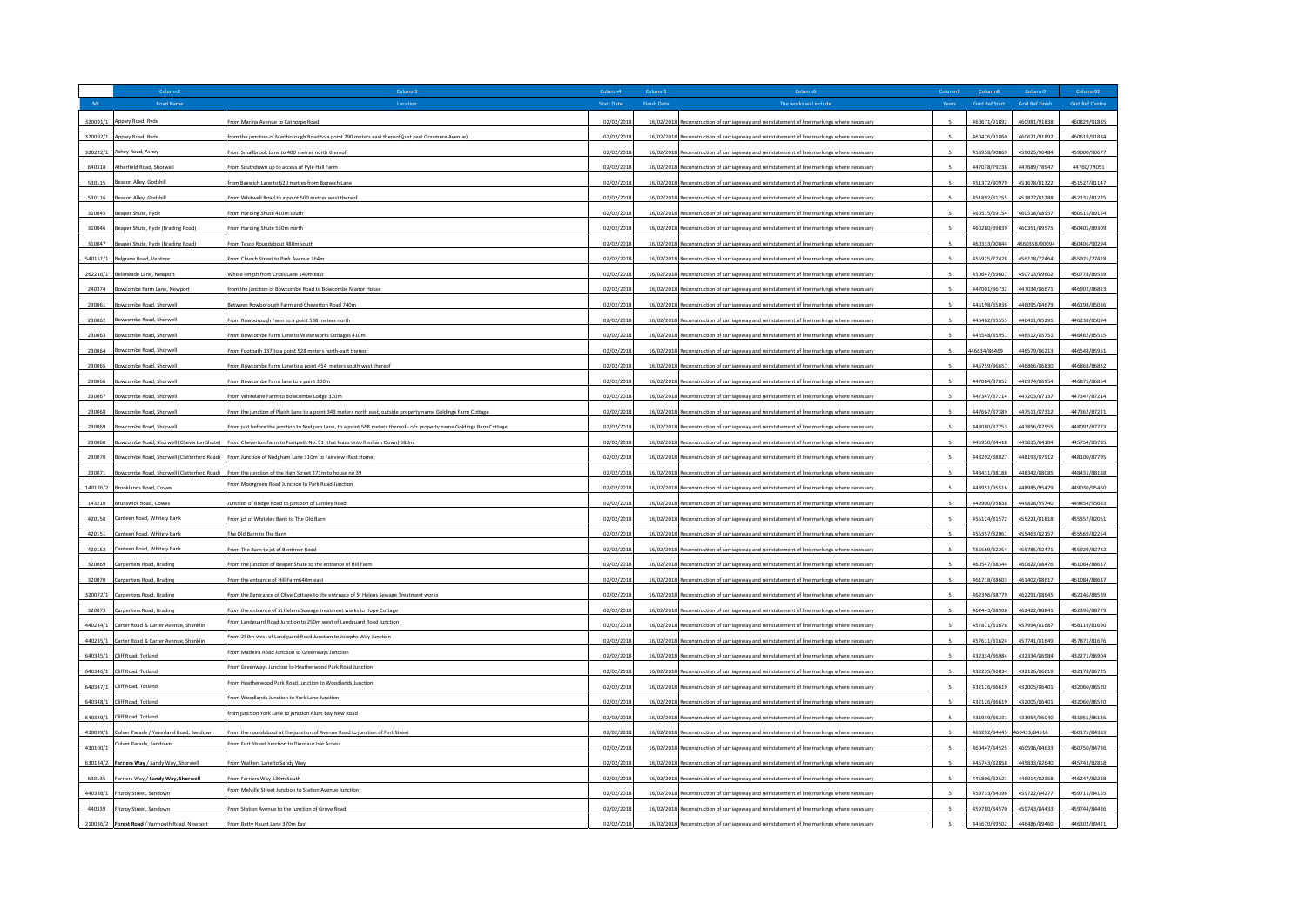|          |                                            |                                                                                                                                               | Column4           | ColumnS            |                                                                                             | Column) | Column <sub>8</sub>   | Column9                | Column92               |
|----------|--------------------------------------------|-----------------------------------------------------------------------------------------------------------------------------------------------|-------------------|--------------------|---------------------------------------------------------------------------------------------|---------|-----------------------|------------------------|------------------------|
| ML       | <b>Road Name</b>                           | Location                                                                                                                                      | <b>Start Date</b> | <b>Finish Date</b> | The works will include                                                                      | Years   | <b>Grid Ref Start</b> | <b>Grid Ref Finish</b> | <b>Grid Ref Centre</b> |
| 320091/1 | Appley Road, Ryde                          | From Marina Avenue to Cathorpe Road                                                                                                           | 02/02/201         | 16/02/2018         | Reconstruction of carriageway and reinstatement of line markings where necessar             |         | 460671/91892          | 460981/91838           | 460829/91885           |
| 320092/1 | Appley Road, Ryde                          | from the junction of Marlborough Road to a point 290 meters east thereof (just past Grasmere Avenu                                            | 02/02/201         | 16/02/2018         | Reconstruction of carriageway and reinstatement of line markings where necessary            |         | 460476/91860          | 460671/91892           | 460619/91884           |
| 320222/1 | Ashey Road, Ashey                          | From Smallbrook Lane to 400 metres north thereof                                                                                              | 02/02/2018        | 16/02/2018         | Reconstruction of carriageway and reinstatement of line markings where necessary            |         | 458958/9086           | 459025/90484           | 459000/90677           |
| 640318   | Atherfield Road, Shorwell                  | From Southdown up to access of Pyle Hall Farm                                                                                                 | 02/02/2018        |                    | 16/02/2018 Reconstruction of carriageway and reinstatement of line markings where necessary |         | 447078/79238          | 447689/78947           | 44760/79051            |
| 530115   | Beacon Alley, Godshill                     | from Bagwich Lane to 620 metres from Bagwich Lane                                                                                             | 02/02/2018        |                    | 16/02/2018 Reconstruction of carriageway and reinstatement of line markings where necessary |         | 451372/80979          | 451678/81322           | 451527/81147           |
| 530116   | Beacon Alley, Godshill                     | From Whitwell Road to a point 500 metres west thereof                                                                                         | 02/02/2018        |                    | 16/02/2018 Reconstruction of carriageway and reinstatement of line markings where necessary |         | 451892/81255          | 451827/81288           | 452131/81225           |
| 310045   | Beaper Shute, Ryde                         | From Harding Shute 410m south                                                                                                                 | 02/02/2018        |                    | 16/02/2018 Reconstruction of carriageway and reinstatement of line markings where necessary |         | 460515/89154          | 460518/88957           | 460515/89154           |
| 310046   | Beaper Shute, Ryde (Brading Road)          | From Harding Shute 550m north                                                                                                                 | 02/02/2018        |                    | 16/02/2018 Reconstruction of carriageway and reinstatement of line markings where necessary |         | 460280/89839          | 460351/89575           | 460405/89309           |
|          |                                            |                                                                                                                                               |                   |                    |                                                                                             |         |                       |                        |                        |
| 310047   | Beaper Shute, Ryde (Brading Road)          | From Tesco Roundabout 480m south                                                                                                              | 02/02/2018        |                    | 16/02/2018 Reconstruction of carriageway and reinstatement of line markings where necessary |         | 460333/90044          | 4660358/90094          | 460406/90294           |
| 540151/1 | Belgrave Road, Ventnor                     | From Church Street to Park Avenue 364m                                                                                                        | 02/02/2018        |                    | 16/02/2018 Reconstruction of carriageway and reinstatement of line markings where necessary |         | 455925/77428          | 456118/77464           | 455925/77428           |
| 262216/1 | Bellmeade Lane, Newport                    | Whole length from Cross Lane 140m east                                                                                                        | 02/02/2018        |                    | 16/02/2018 Reconstruction of carriageway and reinstatement of line markings where necessary |         | 450647/89607          | 450713/89602           | 450778/89589           |
| 240374   | Bowcombe Farm Lane, Newport                | rom the junction of Bowcombe Road to Bowcombe Manor House                                                                                     | 02/02/2018        |                    | 16/02/2018 Reconstruction of carriageway and reinstatement of line markings where necessary |         | 447001/86732          | 447034/86671           | 446902/86823           |
| 230061   | Bowcombe Road, Shorwell                    | Between Rowborough Farm and Cheverton Road 740m                                                                                               | 02/02/2018        | 16/02/2018         | Reconstruction of carriageway and reinstatement of line markings where necessary            |         | 446198/85036          | 446095/84679           | 446198/85036           |
| 230062   | wrombe Road, Shorwell                      | From Rowborough Farm to a point 538 meters north                                                                                              | 02/02/2018        | 16/02/2018         | construction of carriageway and reinstatement of line markings where necessary              |         | 446462/85555          | 446411/85291           | 446238/85094           |
| 230063   | combe Road, Shorwell                       | From Bowcombe Farm Lane to Waterworks Cottages 410n                                                                                           | 02/02/201         | 16/02/2018         | onstruction of carriageway and reinstatement of line markings where necessa                 |         | 446548/85951          | 446512/85751           | 446462/85555           |
| 230064   | wcombe Road, Shorwell                      | From Footpath 137 to a point 528 meters north-east thereof                                                                                    | 02/02/2018        |                    | 16/02/2018 Reconstruction of carriageway and reinstatement of line markings where necessary |         | 46634/86469           | 446579/86213           | 446548/85951           |
| 230065   | owcombe Road, Shorwel                      | From Bowcombe Farm Lane to a point 454 meters south west thereof                                                                              | 02/02/2018        |                    | 16/02/2018 Reconstruction of carriageway and reinstatement of line markings where necessary |         | 446759/86657          | 446866/86830           | 446868/86832           |
| 230066   | mbe Road, Shorwel                          | From Bowcombe Farm lane to a point 300m                                                                                                       | 02/02/2018        |                    | 16/02/2018 Reconstruction of carriageway and reinstatement of line markings where necessary |         | 447084/87052          | 446974/86954           | 446875/86854           |
| 230067   | Bowcombe Road, Shorwell                    | From Whitelane Farm to Bowcombe Lodge 320m                                                                                                    | 02/02/2018        |                    | 16/02/2018 Reconstruction of carriageway and reinstatement of line markings where necessary |         | 447347/87214          | 447203/87137           | 447347/87214           |
| 230068   | Bowcombe Road, Shorwell                    | From the junction of Plaish Lane to a point 349 meters north east, outside property name Goldings Farm Cottage                                | 02/02/2018        |                    | 16/02/2018 Reconstruction of carriageway and reinstatement of line markings where necessary |         | 447667/87389          | 447511/87312           | 447362/87221           |
| 230069   | Bowcombe Road, Shorwell                    | From just before the junction to Nodgam Lane, to a point 568 meters thereof - o/s property name Goldings Barn Cottage.                        | 02/02/2018        |                    | 16/02/2018 Reconstruction of carriageway and reinstatement of line markings where necessary |         | 448080/87753          | 447856/87555           | 448092/87773           |
| 230060   | wcombe Road, Shorwell (Cheverton Shute)    | From Cheverton Farm to Footpath No. 51 (that leads onto Renham Down) 680m                                                                     | 02/02/2018        |                    | 16/02/2018 Reconstruction of carriageway and reinstatement of line markings where necessary |         | 445950/84418          | 445835/84104           | 445754/83785           |
| 230070   | Bowcombe Road, Shorwell (Clatterford Road) | From Junction of Nodgham Lane 310m to Fairview (Rest Home)                                                                                    | 02/02/2018        |                    | 16/02/2018 Reconstruction of carriageway and reinstatement of line markings where necessary |         | 448292/88027          | 448193/87912           | 448100/87795           |
| 230071   |                                            | Bowcombe Road, Shorwell (Clatterford Road) From the junction of the High Street 271m to house no 39                                           | 02/02/2018        |                    | 16/02/2018 Reconstruction of carriageway and reinstatement of line markings where necessary |         | 448431/88188          | 448342/88085           | 448431/88188           |
|          | 140176/2 Brooklands Road, Cowes            | From Moorgreen Road Junction to Park Road Junction                                                                                            | 02/02/2018        |                    | 16/02/2018 Reconstruction of carriageway and reinstatement of line markings where necessary |         | 448951/95516          | 448985/95479           | 449030/95460           |
| 143210   | Brunswick Road, Cowes                      | unction of Bridge Road to junction of Lansley Road                                                                                            | 02/02/2018        |                    | 16/02/2018 Reconstruction of carriageway and reinstatement of line markings where necessary |         | 449900/95638          | 449828/95740           | 449854/95683           |
| 420150   | Canteen Road, Whitely Bank                 | From ict of Whiteley Bank to The Old Barn                                                                                                     | 02/02/2018        |                    | 16/02/2018 Reconstruction of carriageway and reinstatement of line markings where necessary |         | 455124/81572          | 455221/81818           | 455357/82061           |
| 420151   | Canteen Road, Whitely Bank                 | The Old Barn to The Barn                                                                                                                      | 02/02/2018        | 16/02/2018         |                                                                                             |         | 455357/82061          | 455463/82157           | 455569/82254           |
|          |                                            |                                                                                                                                               |                   |                    | construction of carriageway and reinstatement of line markings where necessary              |         |                       |                        |                        |
| 420152   | anteen Road, Whitely Bank                  | From The Barn to jct of Bentrnor Road                                                                                                         | 02/02/2018        | 16/02/2018         | onstruction of carriageway and reinstatement of line markings where necessary               |         | 455569/82254          | 455785/82471           | 455929/82732           |
| 320069   | Carpenters Road, Brading                   | From the junction of Beaper Shute to the entrance of Hill Farm                                                                                | 02/02/2018        | 16/02/2018         | onstruction of carriageway and reinstatement of line markings where necessary               |         | 460547/88344          | 460822/88476           | 461084/88637           |
| 320070   | arpenters Road, Brading                    | From the entrance of Hill Farm640m east                                                                                                       | 02/02/201         | 16/02/2018         | nstruction of carriageway and reinstatement of line markings where necessar                 |         | 461718/88603          | 461402/88617           | 461084/88637           |
| 320072/1 | Carpenters Road, Brading                   | From the Eentrance of Olive Cottage to the entrnace of St Helens Sewage Treatment works                                                       | 02/02/2018        |                    | 16/02/2018 Reconstruction of carriageway and reinstatement of line markings where necessary |         | 462396/88779          | 462291/88645           | 462146/88589           |
| 320073   | Carpenters Road, Brading                   | From the entrance of St Helens Sewage treatment works to Hope Cottage<br>From Landguard Road Junction to 250m west of Landguard Road Junction | 02/02/2018        |                    | 16/02/2018 Reconstruction of carriageway and reinstatement of line markings where necessary |         | 462443/88906          | 462422/88841           | 462396/88779           |
| 440234/1 | Carter Road & Carter Avenue, Shanklin      | From 250m west of Landguard Road Junction to Josephs Way Junction                                                                             | 02/02/2018        |                    | 16/02/2018 Reconstruction of carriageway and reinstatement of line markings where necessary |         | 457871/81676          | 457994/81687           | 458119/81690           |
| 440235/1 | Carter Road & Carter Avenue, Shanklin      |                                                                                                                                               | 02/02/2018        |                    | 16/02/2018 Reconstruction of carriageway and reinstatement of line markings where necessary |         | 457611/81624          | 457741/81649           | 457871/81676           |
| 640345/1 | Cliff Road, Totland                        | From Madeira Road Junction to Greenways Junction                                                                                              | 02/02/2018        |                    | 16/02/2018 Reconstruction of carriageway and reinstatement of line markings where necessary |         | 432334/86984          | 432334/86984           | 432271/86904           |
| 640346/1 | Cliff Road, Totland                        | From Greenways Junction to Heatherwood Park Road Junction                                                                                     | 02/02/2018        |                    | 16/02/2018 Reconstruction of carriageway and reinstatement of line markings where necessary |         | 432235/86834          | 432126/86619           | 432178/86725           |
| 640347/1 | Cliff Road, Totland                        | From Heatherwood Park Road Junction to Woodlands Junction                                                                                     | 02/02/2018        |                    | 16/02/2018 Reconstruction of carriageway and reinstatement of line markings where necessary |         | 432126/86619          | 432005/86401           | 432060/86520           |
|          | 640348/1 Cliff Road, Totland               | From Woodlands Junction to York Lane Junction                                                                                                 | 02/02/2018        |                    | 16/02/2018 Reconstruction of carriageway and reinstatement of line markings where necessary |         | 432126/86619          | 432005/86401           | 432060/86520           |
| 640349/1 | Cliff Road, Totland                        | from junction York Lane to junction Alum Bay New Road                                                                                         | 02/02/2018        |                    | 16/02/2018 Reconstruction of carriageway and reinstatement of line markings where necessary |         | 431939/86231          | 431954/86040           | 431955/86136           |
| 430099/1 | Culver Parade / Yaverland Road, Sandown    | From the roundabout at the junction of Avenue Road to junction of Fort Street                                                                 | 02/02/2018        |                    | 16/02/2018 Reconstruction of carriageway and reinstatement of line markings where necessary |         | 460292/84445          | 460433/84516           | 460175/84383           |
| 430100/1 | Culver Parade, Sandown                     | From Fort Street Junction to Dinosaur Isle Access                                                                                             | 02/02/2018        |                    | 16/02/2018 Reconstruction of carriageway and reinstatement of line markings where necessary |         | 460447/84525          | 460596/84633           | 460750/84736           |
| 630134/2 | Farriers Way / Sandy Way, Shorwell         | From Walkers Lane to Sandy Way                                                                                                                | 02/02/2018        | 16/02/2018         | onstruction of carriageway and reinstatement of line markings where necessary               |         | 445743/82858          | 445833/82640           | 445743/82858           |
| 630135   | Farriers Way / Sandy Way, Shorwell         | rom Farriers Way 530m South                                                                                                                   | 02/02/2018        | 16/02/2018         | Reconstruction of carriageway and reinstatement of line markings where necessary            |         | 445806/82521          | 446014/82358           | 446247/82238           |
| 440338/1 | Fitzroy Street, Sandown                    | From Melville Street Junction to Station Avenue Junction                                                                                      | 02/02/201         |                    | 16/02/2018 Reconstruction of carriageway and reinstatement of line markings where necessary |         | 459733/84396          | 459722/84277           | 459711/84155           |
| 440339   | Fitzroy Street, Sandown                    | From Station Avenue to the junction of Grove Road                                                                                             | 02/02/201         |                    | 16/02/2018 Reconstruction of carriageway and reinstatement of line markings where necessary |         | 459780/84570          | 459743/84433           | 459744/84436           |
| 210036/2 | Forest Road / Yarmouth Road, Newport       | From Betty Haunt Lane 370m East                                                                                                               | 02/02/2018        |                    | 16/02/2018 Reconstruction of carriageway and reinstatement of line markings where necessary | 5       | 446670/89502          | 446486/89460           | 446302/89421           |